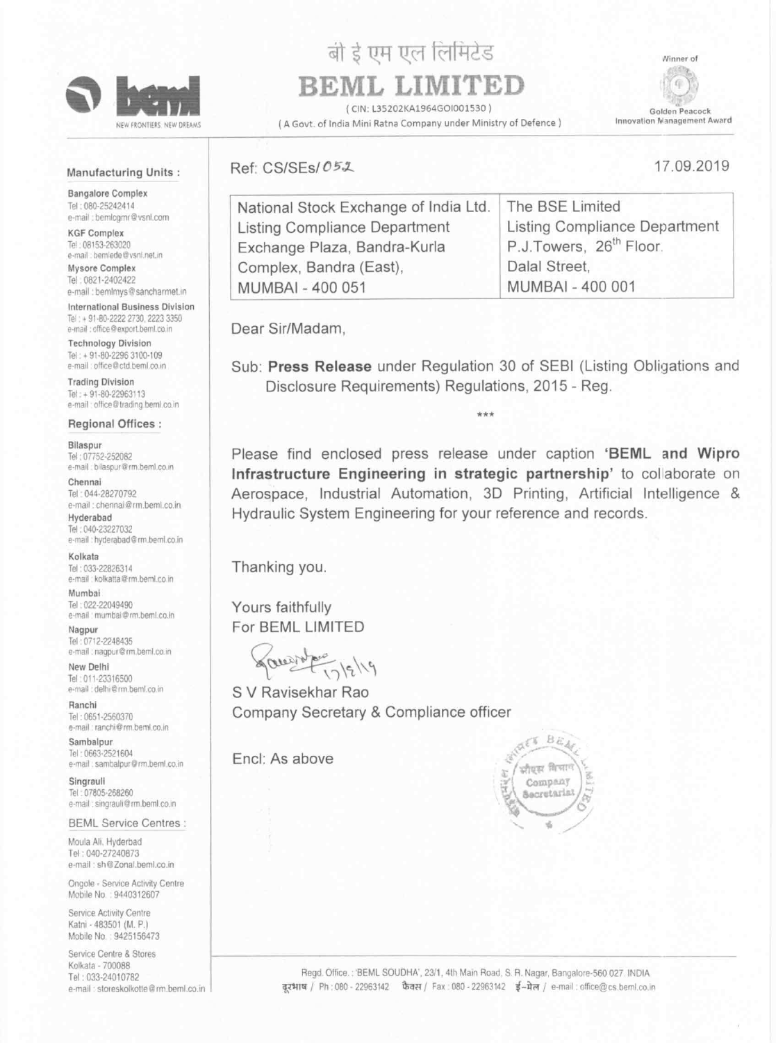

NEW FRONTIERS NEW DREAMS

# बो ई एम एल लिमिटेड

Golden Peacock Innovation Management Award

## BEML LIMITED

lCIN: L35202KA196460|001 530)

( A Govt. of India Mini Ratna Company under Ministry of Defence)

Winner of



Bangalore Complex Tel .080-25242414 e-mail : bemlcgmr@vsnl.com

KGF Complex Tel 03153-263020 e-mail : bemlede@vsnl.net.in

Mysore Complex Tel: 0821-2402422 e-mail : bemlmys@sancharmet.in

International Business Division Tel . 91-80-2222 2730 2223 3350 e-mail : office@export.beml.co.in

### Manufacturing Units :

Technology Division Tel . ¢ 91-50-2296 3100-109 e-mail : office@ctd.beml.co.in

Trading Division Tel: + 91-80-22963113 e-mail : office@trading.beml.co.in Ref: CS/SEs/ 05.2 17.09.2019

Tel ' 04428270792 e-mail : chennai@rm.beml.co.in

Hyderabad Tel: 040-23227032 e-mail : hyderabad@rm.beml.co.in

Tel ' 03322826314 e-mail : kolkatta@rm.beml.co.in

Ranchl Tel : 0651-2560370 e-mail : ranchi@rm.beml.co.in

Sambalpur Tel ' 06632521604 e-mail : sambalpur@rm.beml.co.in

Singrauli Tel: 07805-268260 e-mail : singrauli@rm.beml.co.in

#### Bilaspur

Tel: 07752-252082 e-mail : bilaspur@rm.beml.co.in

Service Centre 8 Stores Kolkala - 700088 Tel: 033-24010782 e-mail : storeskolkotle@rm.beml.co.in

Regd. Office.: 'BEML SOUDHA', 23/1, 4th Main Road, S. R. Nagar, Bangalore-560 027. INDIA दरभाष / Ph: 080 - 22963142 फैक्स / Fax : 080 - 22963142 ई-मेल / e-mail : office@cs.beml.co.in

#### Chennai

#### Kolkata

#### Mumbal

Tel: 022-22049490 e-mail : mumbai@rm.beml.co.in

#### Nagpur

Tel: 0712-2248435 e-mail : nagpur@rm.beml.co.in

#### New Delhi

Tel: 011-23316500 e-mail : delhi@rm.beml.co.in

BEML Service Centres:

| National Stock Exchange of India Ltd. | The BSE Limited                     |
|---------------------------------------|-------------------------------------|
| Listing Compliance Department         | Listing Compliance Department       |
| Exchange Plaza, Bandra-Kurla          | P.J.Towers, 26 <sup>th</sup> Floor. |
| Complex, Bandra (East),               | Dalal Street,                       |
| MUMBAI - 400 051                      | MUMBAI - 400 001                    |
|                                       |                                     |

Dear Sir/Madam,

Sub: Press Release under Regulation 30 of SEBI (Listing Obligations and Disclosure Requirements) Regulations, 2015 - Reg.

#### Regional Offices :

Please find enclosed press release under caption 'BEML and Wipro Infrastructure Engineering in strategic partnership' to collaborate on Aerospace, Industrial Automation, SD Printing, Artificial Intelligence & Hydraulic System Engineering for your reference and records.

Thanking you.

Yours faithfully For BEML LIMITED

garens

S V Ravisekhar Rao Company Secretary & Compliance officer

Encl: As above



Moula Ali, Hyderbad Tel ' [MO-27260873 e-mail: sh@Zonal.beml.co.in

Ongole - Service Activity Centre Mobile No.: 9440312607

Service Activity Centre Katni - 483501 (M. P.) Mobile No.: 9425156473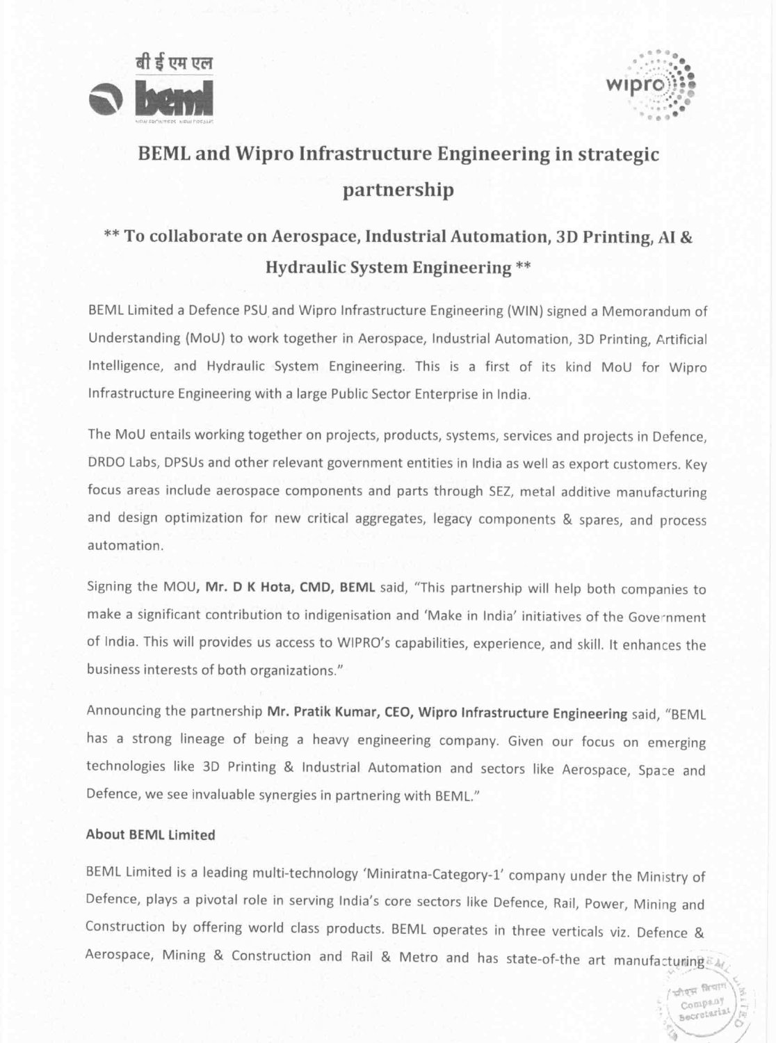



ecrotari

## BEML and Wipro Infrastructure Engineering in strategic partnership

### \*\* To collaborate on Aerospace, Industrial Automation, 3D Printing, Al 8; Hydraulic System Engineering \*\*

BEML Limited <sup>a</sup> Defence PSU and Wipro infrastructure Engineering (WIN) signed <sup>a</sup> Memorandum of Understanding (MoU) to work together in Aerospace, Industrial Automation, 3D Printing, Artificial Intelligence, and Hydraulic System Engineering. This is <sup>a</sup> first of its kind MoU for Wipro Infrastructure Engineering with <sup>a</sup> large Public Sector Enterprise in India.

The MoU entails working together on projects, products, systems, services and projects in Defence, DRDO Labs, DPSUs and other relevant government entities in India as well as export customers. Key focus areas include aerospace components and parts through SEZ, metal additive manufacturing and design optimization for new critical aggregates, legacy components & spares, and process automation.

Signing the MOU, Mr. <sup>D</sup> <sup>K</sup> Hota, CMD, BEML said, "This partnership will help both companies to make <sup>a</sup> significant contribution to indigenisation and 'Make in India' initiatives of the Gove'nment of India. This will provides us access to WIPRO's capabilities, experience, and skill. It enhances the business interests of both organizations."

Announcing the partnership Mr. Pratik Kumar, CEO, Wipro Infrastructure Engineering said, "BEML has <sup>a</sup> strong lineage of being <sup>a</sup> heavy engineering company. Given our focus on emerging technologies like SD Printing & Industrial Automation and sectors like Aerospace, Spa:e and Defence, we see invaluable synergies in partnering with BEML."

## About BEML Limited

BEML Limited is a leading multi-technology 'Miniratna-Category-1' company under the Ministry of Defence, plays <sup>a</sup> pivotal role in serving India's core sectors like Defence, Rail, Power, Mining and Construction by offering world class products. BEML operates in three verticals viz. Defence & Aerospace, Mining & Construction and Rail & Metro and has state-of-the art manufacturing  $\epsilon_M$